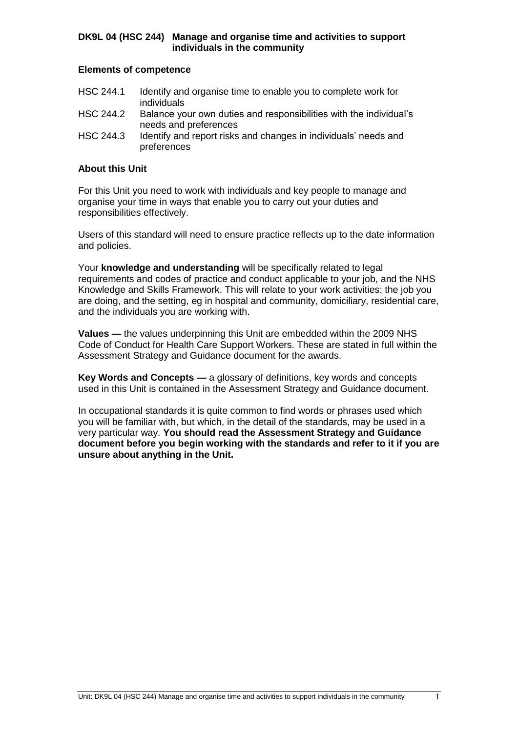## **Elements of competence**

- HSC 244.1 Identify and organise time to enable you to complete work for individuals
- HSC 244.2 Balance your own duties and responsibilities with the individual's needs and preferences
- HSC 244.3 Identify and report risks and changes in individuals' needs and preferences

#### **About this Unit**

For this Unit you need to work with individuals and key people to manage and organise your time in ways that enable you to carry out your duties and responsibilities effectively.

Users of this standard will need to ensure practice reflects up to the date information and policies.

Your **knowledge and understanding** will be specifically related to legal requirements and codes of practice and conduct applicable to your job, and the NHS Knowledge and Skills Framework. This will relate to your work activities; the job you are doing, and the setting, eg in hospital and community, domiciliary, residential care, and the individuals you are working with.

**Values —** the values underpinning this Unit are embedded within the 2009 NHS Code of Conduct for Health Care Support Workers. These are stated in full within the Assessment Strategy and Guidance document for the awards.

**Key Words and Concepts —** a glossary of definitions, key words and concepts used in this Unit is contained in the Assessment Strategy and Guidance document.

In occupational standards it is quite common to find words or phrases used which you will be familiar with, but which, in the detail of the standards, may be used in a very particular way. **You should read the Assessment Strategy and Guidance document before you begin working with the standards and refer to it if you are unsure about anything in the Unit.**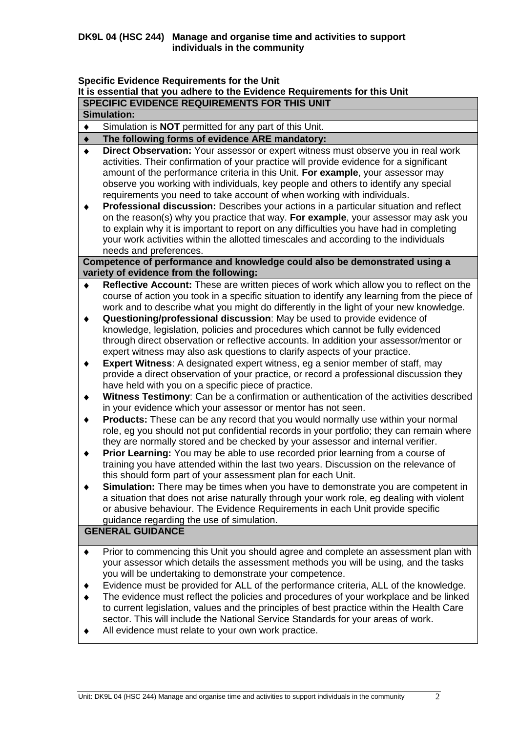# **Specific Evidence Requirements for the Unit**

# **It is essential that you adhere to the Evidence Requirements for this Unit**

|                                          | <b>SPECIFIC EVIDENCE REQUIREMENTS FOR THIS UNIT</b>                                                                                                                                                                                                                                                                                                                                                                                                                                                                                                                                                                                                                                                                                                                                                                                                                                                                                                                                                                                                                                                                                                                                                                                                                                                                                                                                                                                                                                                                                                                                                                                                                                                                                                                                                                                                                                 |
|------------------------------------------|-------------------------------------------------------------------------------------------------------------------------------------------------------------------------------------------------------------------------------------------------------------------------------------------------------------------------------------------------------------------------------------------------------------------------------------------------------------------------------------------------------------------------------------------------------------------------------------------------------------------------------------------------------------------------------------------------------------------------------------------------------------------------------------------------------------------------------------------------------------------------------------------------------------------------------------------------------------------------------------------------------------------------------------------------------------------------------------------------------------------------------------------------------------------------------------------------------------------------------------------------------------------------------------------------------------------------------------------------------------------------------------------------------------------------------------------------------------------------------------------------------------------------------------------------------------------------------------------------------------------------------------------------------------------------------------------------------------------------------------------------------------------------------------------------------------------------------------------------------------------------------------|
|                                          | <b>Simulation:</b>                                                                                                                                                                                                                                                                                                                                                                                                                                                                                                                                                                                                                                                                                                                                                                                                                                                                                                                                                                                                                                                                                                                                                                                                                                                                                                                                                                                                                                                                                                                                                                                                                                                                                                                                                                                                                                                                  |
| ٠                                        | Simulation is <b>NOT</b> permitted for any part of this Unit.                                                                                                                                                                                                                                                                                                                                                                                                                                                                                                                                                                                                                                                                                                                                                                                                                                                                                                                                                                                                                                                                                                                                                                                                                                                                                                                                                                                                                                                                                                                                                                                                                                                                                                                                                                                                                       |
| $\blacklozenge$                          | The following forms of evidence ARE mandatory:                                                                                                                                                                                                                                                                                                                                                                                                                                                                                                                                                                                                                                                                                                                                                                                                                                                                                                                                                                                                                                                                                                                                                                                                                                                                                                                                                                                                                                                                                                                                                                                                                                                                                                                                                                                                                                      |
| ٠<br>٠                                   | Direct Observation: Your assessor or expert witness must observe you in real work<br>activities. Their confirmation of your practice will provide evidence for a significant<br>amount of the performance criteria in this Unit. For example, your assessor may<br>observe you working with individuals, key people and others to identify any special<br>requirements you need to take account of when working with individuals.<br>Professional discussion: Describes your actions in a particular situation and reflect<br>on the reason(s) why you practice that way. For example, your assessor may ask you<br>to explain why it is important to report on any difficulties you have had in completing<br>your work activities within the allotted timescales and according to the individuals<br>needs and preferences.                                                                                                                                                                                                                                                                                                                                                                                                                                                                                                                                                                                                                                                                                                                                                                                                                                                                                                                                                                                                                                                       |
|                                          | Competence of performance and knowledge could also be demonstrated using a<br>variety of evidence from the following:                                                                                                                                                                                                                                                                                                                                                                                                                                                                                                                                                                                                                                                                                                                                                                                                                                                                                                                                                                                                                                                                                                                                                                                                                                                                                                                                                                                                                                                                                                                                                                                                                                                                                                                                                               |
| $\blacklozenge$<br>٠<br>٠<br>٠<br>٠<br>٠ | Reflective Account: These are written pieces of work which allow you to reflect on the<br>course of action you took in a specific situation to identify any learning from the piece of<br>work and to describe what you might do differently in the light of your new knowledge.<br>Questioning/professional discussion: May be used to provide evidence of<br>knowledge, legislation, policies and procedures which cannot be fully evidenced<br>through direct observation or reflective accounts. In addition your assessor/mentor or<br>expert witness may also ask questions to clarify aspects of your practice.<br><b>Expert Witness:</b> A designated expert witness, eg a senior member of staff, may<br>provide a direct observation of your practice, or record a professional discussion they<br>have held with you on a specific piece of practice.<br>Witness Testimony: Can be a confirmation or authentication of the activities described<br>in your evidence which your assessor or mentor has not seen.<br>Products: These can be any record that you would normally use within your normal<br>role, eg you should not put confidential records in your portfolio; they can remain where<br>they are normally stored and be checked by your assessor and internal verifier.<br>Prior Learning: You may be able to use recorded prior learning from a course of<br>training you have attended within the last two years. Discussion on the relevance of<br>this should form part of your assessment plan for each Unit.<br>Simulation: There may be times when you have to demonstrate you are competent in<br>a situation that does not arise naturally through your work role, eg dealing with violent<br>or abusive behaviour. The Evidence Requirements in each Unit provide specific<br>guidance regarding the use of simulation.<br><b>GENERAL GUIDANCE</b> |
|                                          |                                                                                                                                                                                                                                                                                                                                                                                                                                                                                                                                                                                                                                                                                                                                                                                                                                                                                                                                                                                                                                                                                                                                                                                                                                                                                                                                                                                                                                                                                                                                                                                                                                                                                                                                                                                                                                                                                     |
|                                          | Prior to commencing this Unit you should agree and complete an assessment plan with<br>your assessor which details the assessment methods you will be using, and the tasks<br>you will be undertaking to demonstrate your competence.<br>Evidence must be provided for ALL of the performance criteria, ALL of the knowledge.<br>The evidence must reflect the policies and procedures of your workplace and be linked<br>to current legislation, values and the principles of best practice within the Health Care                                                                                                                                                                                                                                                                                                                                                                                                                                                                                                                                                                                                                                                                                                                                                                                                                                                                                                                                                                                                                                                                                                                                                                                                                                                                                                                                                                 |

sector. This will include the National Service Standards for your areas of work.

All evidence must relate to your own work practice. $\bullet$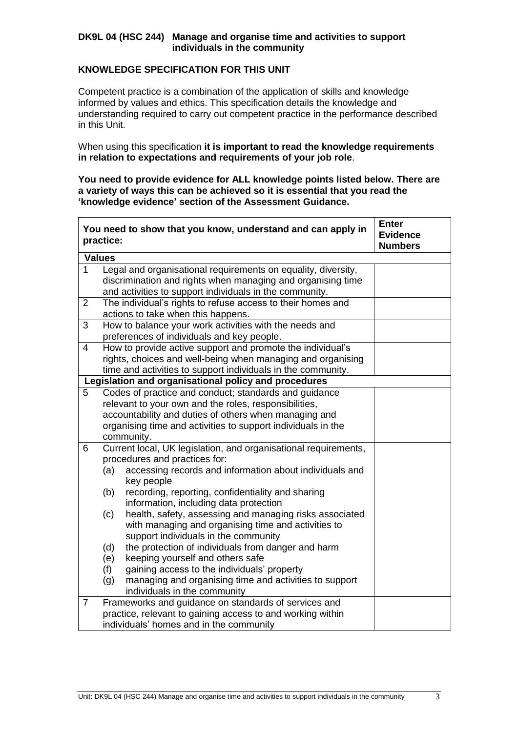# **KNOWLEDGE SPECIFICATION FOR THIS UNIT**

Competent practice is a combination of the application of skills and knowledge informed by values and ethics. This specification details the knowledge and understanding required to carry out competent practice in the performance described in this Unit.

When using this specification **it is important to read the knowledge requirements in relation to expectations and requirements of your job role**.

**You need to provide evidence for ALL knowledge points listed below. There are a variety of ways this can be achieved so it is essential that you read the 'knowledge evidence' section of the Assessment Guidance.**

|                | You need to show that you know, understand and can apply in<br>practice:                                       | <b>Enter</b><br><b>Evidence</b><br><b>Numbers</b> |  |  |  |  |  |  |  |
|----------------|----------------------------------------------------------------------------------------------------------------|---------------------------------------------------|--|--|--|--|--|--|--|
| <b>Values</b>  |                                                                                                                |                                                   |  |  |  |  |  |  |  |
| $\mathbf{1}$   | Legal and organisational requirements on equality, diversity,                                                  |                                                   |  |  |  |  |  |  |  |
|                | discrimination and rights when managing and organising time                                                    |                                                   |  |  |  |  |  |  |  |
|                | and activities to support individuals in the community.                                                        |                                                   |  |  |  |  |  |  |  |
| $\overline{2}$ | The individual's rights to refuse access to their homes and                                                    |                                                   |  |  |  |  |  |  |  |
|                | actions to take when this happens.                                                                             |                                                   |  |  |  |  |  |  |  |
| 3              | How to balance your work activities with the needs and                                                         |                                                   |  |  |  |  |  |  |  |
|                | preferences of individuals and key people.                                                                     |                                                   |  |  |  |  |  |  |  |
| $\overline{4}$ | How to provide active support and promote the individual's                                                     |                                                   |  |  |  |  |  |  |  |
|                | rights, choices and well-being when managing and organising                                                    |                                                   |  |  |  |  |  |  |  |
|                | time and activities to support individuals in the community.                                                   |                                                   |  |  |  |  |  |  |  |
|                | Legislation and organisational policy and procedures                                                           |                                                   |  |  |  |  |  |  |  |
| 5              | Codes of practice and conduct; standards and guidance<br>relevant to your own and the roles, responsibilities, |                                                   |  |  |  |  |  |  |  |
|                | accountability and duties of others when managing and                                                          |                                                   |  |  |  |  |  |  |  |
|                | organising time and activities to support individuals in the                                                   |                                                   |  |  |  |  |  |  |  |
|                | community.                                                                                                     |                                                   |  |  |  |  |  |  |  |
| 6              | Current local, UK legislation, and organisational requirements,                                                |                                                   |  |  |  |  |  |  |  |
|                | procedures and practices for:                                                                                  |                                                   |  |  |  |  |  |  |  |
|                | accessing records and information about individuals and<br>(a)                                                 |                                                   |  |  |  |  |  |  |  |
|                | key people                                                                                                     |                                                   |  |  |  |  |  |  |  |
|                | recording, reporting, confidentiality and sharing<br>(b)                                                       |                                                   |  |  |  |  |  |  |  |
|                | information, including data protection                                                                         |                                                   |  |  |  |  |  |  |  |
|                | health, safety, assessing and managing risks associated<br>(c)                                                 |                                                   |  |  |  |  |  |  |  |
|                | with managing and organising time and activities to                                                            |                                                   |  |  |  |  |  |  |  |
|                | support individuals in the community                                                                           |                                                   |  |  |  |  |  |  |  |
|                | the protection of individuals from danger and harm<br>(d)                                                      |                                                   |  |  |  |  |  |  |  |
|                | keeping yourself and others safe<br>(e)                                                                        |                                                   |  |  |  |  |  |  |  |
|                | gaining access to the individuals' property<br>(f)                                                             |                                                   |  |  |  |  |  |  |  |
|                | managing and organising time and activities to support<br>(g)                                                  |                                                   |  |  |  |  |  |  |  |
|                | individuals in the community                                                                                   |                                                   |  |  |  |  |  |  |  |
| $\overline{7}$ | Frameworks and guidance on standards of services and                                                           |                                                   |  |  |  |  |  |  |  |
|                | practice, relevant to gaining access to and working within                                                     |                                                   |  |  |  |  |  |  |  |
|                | individuals' homes and in the community                                                                        |                                                   |  |  |  |  |  |  |  |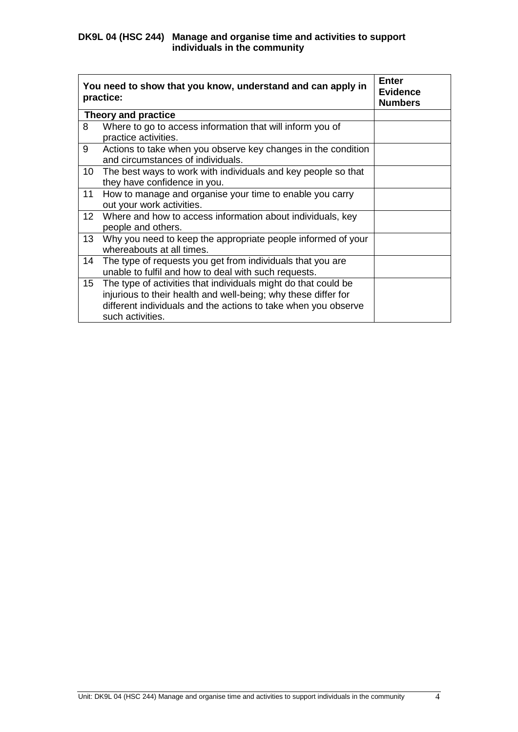|                  | You need to show that you know, understand and can apply in<br>practice:                                                                                                                                               | <b>Enter</b><br><b>Evidence</b><br><b>Numbers</b> |
|------------------|------------------------------------------------------------------------------------------------------------------------------------------------------------------------------------------------------------------------|---------------------------------------------------|
|                  | Theory and practice                                                                                                                                                                                                    |                                                   |
| 8                | Where to go to access information that will inform you of<br>practice activities.                                                                                                                                      |                                                   |
| 9                | Actions to take when you observe key changes in the condition<br>and circumstances of individuals.                                                                                                                     |                                                   |
| 10 <sup>°</sup>  | The best ways to work with individuals and key people so that<br>they have confidence in you.                                                                                                                          |                                                   |
| 11               | How to manage and organise your time to enable you carry<br>out your work activities.                                                                                                                                  |                                                   |
| 12 <sup>°</sup>  | Where and how to access information about individuals, key<br>people and others.                                                                                                                                       |                                                   |
| 13 <sup>°</sup>  | Why you need to keep the appropriate people informed of your<br>whereabouts at all times.                                                                                                                              |                                                   |
| 14               | The type of requests you get from individuals that you are<br>unable to fulfil and how to deal with such requests.                                                                                                     |                                                   |
| 15 <sub>15</sub> | The type of activities that individuals might do that could be<br>injurious to their health and well-being; why these differ for<br>different individuals and the actions to take when you observe<br>such activities. |                                                   |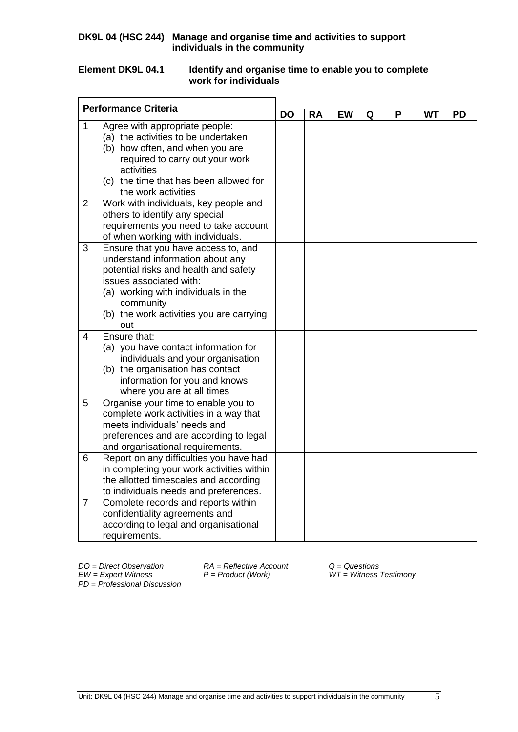#### **Element DK9L 04.1 Identify and organise time to enable you to complete work for individuals**

|                | <b>Performance Criteria</b>                                               |  |           |           |   |   |           |           |
|----------------|---------------------------------------------------------------------------|--|-----------|-----------|---|---|-----------|-----------|
|                |                                                                           |  | <b>RA</b> | <b>EW</b> | Q | P | <b>WT</b> | <b>PD</b> |
| $\mathbf{1}$   | Agree with appropriate people:                                            |  |           |           |   |   |           |           |
|                | (a) the activities to be undertaken                                       |  |           |           |   |   |           |           |
|                | (b) how often, and when you are                                           |  |           |           |   |   |           |           |
|                | required to carry out your work                                           |  |           |           |   |   |           |           |
|                | activities                                                                |  |           |           |   |   |           |           |
|                | (c) the time that has been allowed for                                    |  |           |           |   |   |           |           |
|                | the work activities                                                       |  |           |           |   |   |           |           |
| 2              | Work with individuals, key people and                                     |  |           |           |   |   |           |           |
|                | others to identify any special                                            |  |           |           |   |   |           |           |
|                | requirements you need to take account                                     |  |           |           |   |   |           |           |
|                | of when working with individuals.                                         |  |           |           |   |   |           |           |
| 3              | Ensure that you have access to, and                                       |  |           |           |   |   |           |           |
|                | understand information about any                                          |  |           |           |   |   |           |           |
|                | potential risks and health and safety                                     |  |           |           |   |   |           |           |
|                | issues associated with:                                                   |  |           |           |   |   |           |           |
|                | (a) working with individuals in the                                       |  |           |           |   |   |           |           |
|                | community                                                                 |  |           |           |   |   |           |           |
|                | (b) the work activities you are carrying                                  |  |           |           |   |   |           |           |
| 4              | out<br>Ensure that:                                                       |  |           |           |   |   |           |           |
|                |                                                                           |  |           |           |   |   |           |           |
|                | (a) you have contact information for<br>individuals and your organisation |  |           |           |   |   |           |           |
|                | (b) the organisation has contact                                          |  |           |           |   |   |           |           |
|                | information for you and knows                                             |  |           |           |   |   |           |           |
|                | where you are at all times                                                |  |           |           |   |   |           |           |
| 5              | Organise your time to enable you to                                       |  |           |           |   |   |           |           |
|                | complete work activities in a way that                                    |  |           |           |   |   |           |           |
|                | meets individuals' needs and                                              |  |           |           |   |   |           |           |
|                | preferences and are according to legal                                    |  |           |           |   |   |           |           |
|                | and organisational requirements.                                          |  |           |           |   |   |           |           |
| 6              | Report on any difficulties you have had                                   |  |           |           |   |   |           |           |
|                | in completing your work activities within                                 |  |           |           |   |   |           |           |
|                | the allotted timescales and according                                     |  |           |           |   |   |           |           |
|                | to individuals needs and preferences.                                     |  |           |           |   |   |           |           |
| $\overline{7}$ | Complete records and reports within                                       |  |           |           |   |   |           |           |
|                | confidentiality agreements and                                            |  |           |           |   |   |           |           |
|                | according to legal and organisational                                     |  |           |           |   |   |           |           |
|                | requirements.                                                             |  |           |           |   |   |           |           |

*DO = Direct Observation RA = Reflective Account Q = Questions PD* = *Professional Discussion*

*EW = Expert Witness P = Product (Work) WT = Witness Testimony*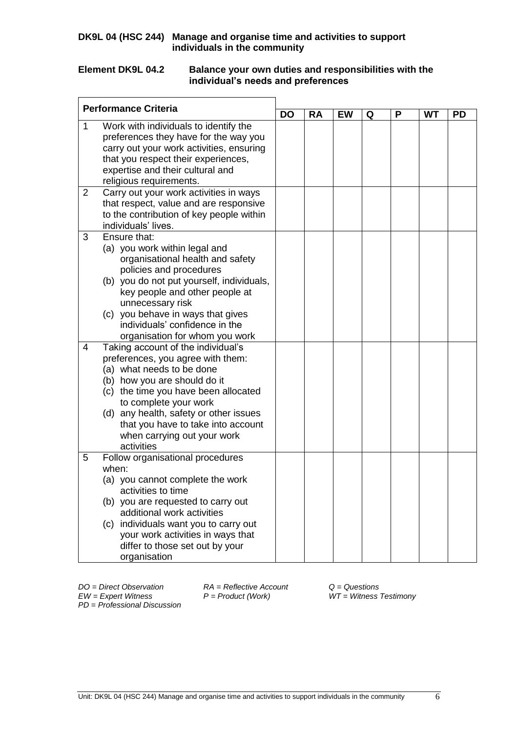#### **Element DK9L 04.2 Balance your own duties and responsibilities with the individual's needs and preferences**

| <b>Performance Criteria</b> |                                                                                |  |           |           |   |   |           |           |
|-----------------------------|--------------------------------------------------------------------------------|--|-----------|-----------|---|---|-----------|-----------|
|                             |                                                                                |  | <b>RA</b> | <b>EW</b> | Q | P | <b>WT</b> | <b>PD</b> |
| 1                           | Work with individuals to identify the<br>preferences they have for the way you |  |           |           |   |   |           |           |
|                             | carry out your work activities, ensuring                                       |  |           |           |   |   |           |           |
|                             | that you respect their experiences,                                            |  |           |           |   |   |           |           |
|                             | expertise and their cultural and                                               |  |           |           |   |   |           |           |
|                             | religious requirements.                                                        |  |           |           |   |   |           |           |
| $\overline{2}$              | Carry out your work activities in ways                                         |  |           |           |   |   |           |           |
|                             | that respect, value and are responsive                                         |  |           |           |   |   |           |           |
|                             | to the contribution of key people within                                       |  |           |           |   |   |           |           |
|                             | individuals' lives.                                                            |  |           |           |   |   |           |           |
| 3                           | Ensure that:                                                                   |  |           |           |   |   |           |           |
|                             | (a) you work within legal and                                                  |  |           |           |   |   |           |           |
|                             | organisational health and safety                                               |  |           |           |   |   |           |           |
|                             | policies and procedures                                                        |  |           |           |   |   |           |           |
|                             | (b) you do not put yourself, individuals,                                      |  |           |           |   |   |           |           |
|                             | key people and other people at                                                 |  |           |           |   |   |           |           |
|                             | unnecessary risk<br>(c) you behave in ways that gives                          |  |           |           |   |   |           |           |
|                             | individuals' confidence in the                                                 |  |           |           |   |   |           |           |
|                             | organisation for whom you work                                                 |  |           |           |   |   |           |           |
| 4                           | Taking account of the individual's                                             |  |           |           |   |   |           |           |
|                             | preferences, you agree with them:                                              |  |           |           |   |   |           |           |
|                             | (a) what needs to be done                                                      |  |           |           |   |   |           |           |
|                             | (b) how you are should do it                                                   |  |           |           |   |   |           |           |
|                             | (c) the time you have been allocated                                           |  |           |           |   |   |           |           |
|                             | to complete your work                                                          |  |           |           |   |   |           |           |
|                             | (d) any health, safety or other issues                                         |  |           |           |   |   |           |           |
|                             | that you have to take into account                                             |  |           |           |   |   |           |           |
|                             | when carrying out your work                                                    |  |           |           |   |   |           |           |
|                             | activities                                                                     |  |           |           |   |   |           |           |
| 5                           | Follow organisational procedures<br>when:                                      |  |           |           |   |   |           |           |
|                             | (a) you cannot complete the work                                               |  |           |           |   |   |           |           |
|                             | activities to time                                                             |  |           |           |   |   |           |           |
|                             | (b) you are requested to carry out                                             |  |           |           |   |   |           |           |
|                             | additional work activities                                                     |  |           |           |   |   |           |           |
|                             | (c) individuals want you to carry out                                          |  |           |           |   |   |           |           |
|                             | your work activities in ways that                                              |  |           |           |   |   |           |           |
|                             | differ to those set out by your                                                |  |           |           |   |   |           |           |
|                             | organisation                                                                   |  |           |           |   |   |           |           |

*PD* = *Professional Discussion*

*DO = Direct Observation RA = Reflective Account Q = Questions*

*EW = Expert Witness P = Product (Work) WT = Witness Testimony*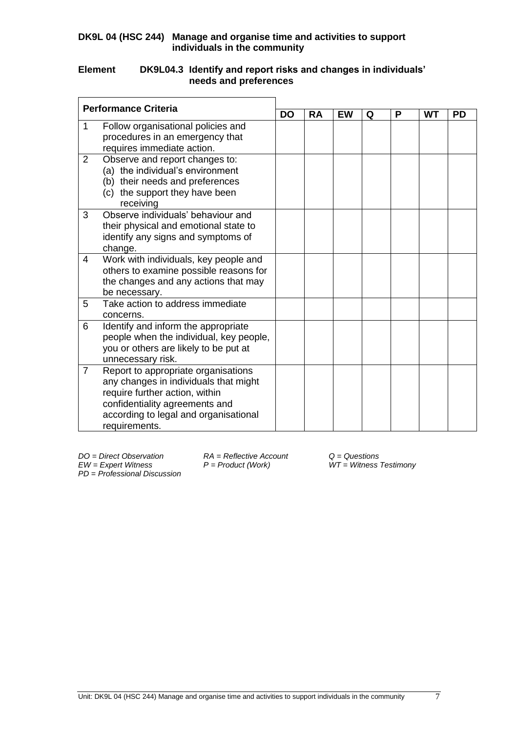## **Element DK9L04.3 Identify and report risks and changes in individuals' needs and preferences**

| <b>Performance Criteria</b> |                                                   | <b>DO</b> |           |           |   |   |    |           |  |
|-----------------------------|---------------------------------------------------|-----------|-----------|-----------|---|---|----|-----------|--|
|                             |                                                   |           | <b>RA</b> | <b>EW</b> | Q | P | WT | <b>PD</b> |  |
| 1                           | Follow organisational policies and                |           |           |           |   |   |    |           |  |
|                             | procedures in an emergency that                   |           |           |           |   |   |    |           |  |
|                             | requires immediate action.                        |           |           |           |   |   |    |           |  |
| $\overline{2}$              | Observe and report changes to:                    |           |           |           |   |   |    |           |  |
|                             | (a) the individual's environment                  |           |           |           |   |   |    |           |  |
|                             | (b) their needs and preferences                   |           |           |           |   |   |    |           |  |
|                             | (c) the support they have been                    |           |           |           |   |   |    |           |  |
|                             | receiving                                         |           |           |           |   |   |    |           |  |
| 3                           | Observe individuals' behaviour and                |           |           |           |   |   |    |           |  |
|                             | their physical and emotional state to             |           |           |           |   |   |    |           |  |
|                             | identify any signs and symptoms of                |           |           |           |   |   |    |           |  |
|                             | change.                                           |           |           |           |   |   |    |           |  |
| 4                           | Work with individuals, key people and             |           |           |           |   |   |    |           |  |
|                             | others to examine possible reasons for            |           |           |           |   |   |    |           |  |
|                             | the changes and any actions that may              |           |           |           |   |   |    |           |  |
| 5                           | be necessary.<br>Take action to address immediate |           |           |           |   |   |    |           |  |
|                             |                                                   |           |           |           |   |   |    |           |  |
| 6                           | concerns.<br>Identify and inform the appropriate  |           |           |           |   |   |    |           |  |
|                             | people when the individual, key people,           |           |           |           |   |   |    |           |  |
|                             | you or others are likely to be put at             |           |           |           |   |   |    |           |  |
|                             | unnecessary risk.                                 |           |           |           |   |   |    |           |  |
| $\overline{7}$              | Report to appropriate organisations               |           |           |           |   |   |    |           |  |
|                             | any changes in individuals that might             |           |           |           |   |   |    |           |  |
|                             | require further action, within                    |           |           |           |   |   |    |           |  |
|                             | confidentiality agreements and                    |           |           |           |   |   |    |           |  |
|                             | according to legal and organisational             |           |           |           |   |   |    |           |  |
|                             | requirements.                                     |           |           |           |   |   |    |           |  |
|                             |                                                   |           |           |           |   |   |    |           |  |

*DO = Direct Observation RA = Reflective Account Q = Questions PD* = *Professional Discussion*

*EW = Expert Witness P = Product (Work) WT = Witness Testimony*